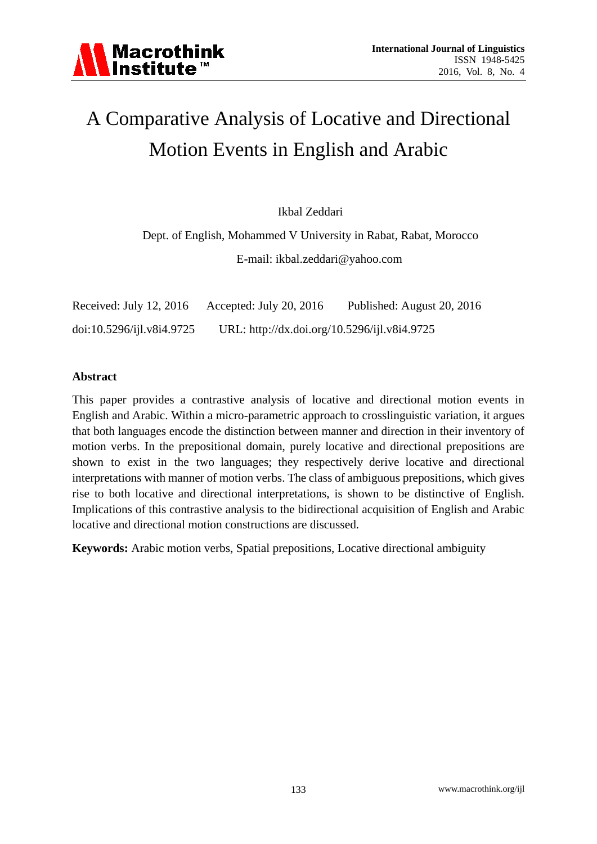# A Comparative Analysis of Locative and Directional Motion Events in English and Arabic

Ikbal Zeddari

Dept. of English, Mohammed V University in Rabat, Rabat, Morocco E-mail: ikbal.zeddari@yahoo.com

Received: July 12, 2016 Accepted: July 20, 2016 Published: August 20, 2016 doi:10.5296/ijl.v8i4.9725 URL: http://dx.doi.org/10.5296/ijl.v8i4.9725

# **Abstract**

This paper provides a contrastive analysis of locative and directional motion events in English and Arabic. Within a micro-parametric approach to crosslinguistic variation, it argues that both languages encode the distinction between manner and direction in their inventory of motion verbs. In the prepositional domain, purely locative and directional prepositions are shown to exist in the two languages; they respectively derive locative and directional interpretations with manner of motion verbs. The class of ambiguous prepositions, which gives rise to both locative and directional interpretations, is shown to be distinctive of English. Implications of this contrastive analysis to the bidirectional acquisition of English and Arabic locative and directional motion constructions are discussed.

**Keywords:** Arabic motion verbs, Spatial prepositions, Locative directional ambiguity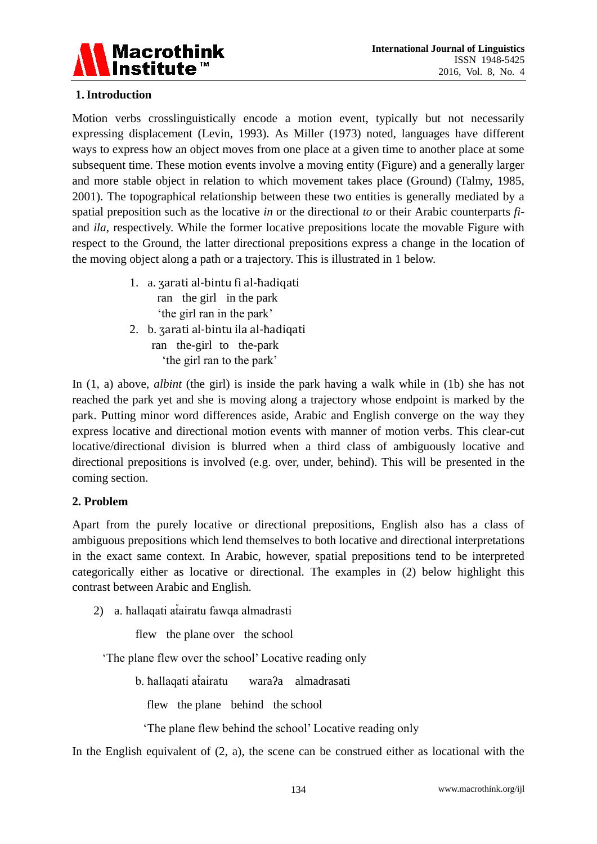

# **1.Introduction**

Motion verbs crosslinguistically encode a motion event, typically but not necessarily expressing displacement (Levin, 1993). As Miller (1973) noted, languages have different ways to express how an object moves from one place at a given time to another place at some subsequent time. These motion events involve a moving entity (Figure) and a generally larger and more stable object in relation to which movement takes place (Ground) (Talmy, 1985, 2001). The topographical relationship between these two entities is generally mediated by a spatial preposition such as the locative *in* or the directional *to* or their Arabic counterparts *fi*and *ila*, respectively. While the former locative prepositions locate the movable Figure with respect to the Ground, the latter directional prepositions express a change in the location of the moving object along a path or a trajectory. This is illustrated in 1 below.

- 1. a. ʒarati al-bintu fi al-ħadiqati ran the girl in the park 'the girl ran in the park'
- 2. b. ʒarati al-bintu ila al-ħadiqati ran the-girl to the-park 'the girl ran to the park'

In (1, a) above, *albint* (the girl) is inside the park having a walk while in (1b) she has not reached the park yet and she is moving along a trajectory whose endpoint is marked by the park. Putting minor word differences aside, Arabic and English converge on the way they express locative and directional motion events with manner of motion verbs. This clear-cut locative/directional division is blurred when a third class of ambiguously locative and directional prepositions is involved (e.g. over, under, behind). This will be presented in the coming section.

# **2. Problem**

Apart from the purely locative or directional prepositions, English also has a class of ambiguous prepositions which lend themselves to both locative and directional interpretations in the exact same context. In Arabic, however, spatial prepositions tend to be interpreted categorically either as locative or directional. The examples in (2) below highlight this contrast between Arabic and English.

2) a. hallaqati atairatu fawqa almadrasti

flew the plane over the school

'The plane flew over the school' Locative reading only

b. hallaqati atairatu wara?a almadrasati

flew the plane behind the school

'The plane flew behind the school' Locative reading only

In the English equivalent of  $(2, a)$ , the scene can be construed either as locational with the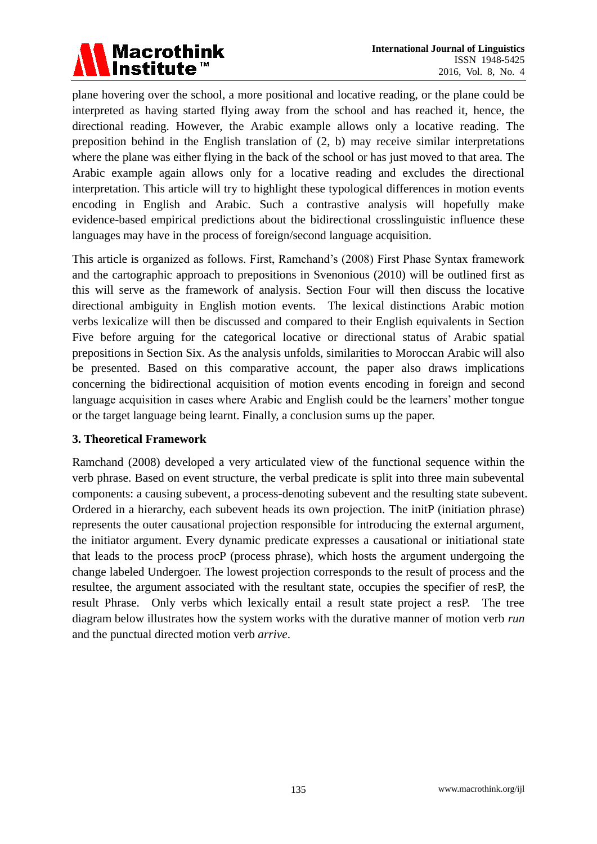

plane hovering over the school, a more positional and locative reading, or the plane could be interpreted as having started flying away from the school and has reached it, hence, the directional reading. However, the Arabic example allows only a locative reading. The preposition behind in the English translation of (2, b) may receive similar interpretations where the plane was either flying in the back of the school or has just moved to that area. The Arabic example again allows only for a locative reading and excludes the directional interpretation. This article will try to highlight these typological differences in motion events encoding in English and Arabic. Such a contrastive analysis will hopefully make evidence-based empirical predictions about the bidirectional crosslinguistic influence these languages may have in the process of foreign/second language acquisition.

This article is organized as follows. First, Ramchand's (2008) First Phase Syntax framework and the cartographic approach to prepositions in Svenonious (2010) will be outlined first as this will serve as the framework of analysis. Section Four will then discuss the locative directional ambiguity in English motion events. The lexical distinctions Arabic motion verbs lexicalize will then be discussed and compared to their English equivalents in Section Five before arguing for the categorical locative or directional status of Arabic spatial prepositions in Section Six. As the analysis unfolds, similarities to Moroccan Arabic will also be presented. Based on this comparative account, the paper also draws implications concerning the bidirectional acquisition of motion events encoding in foreign and second language acquisition in cases where Arabic and English could be the learners' mother tongue or the target language being learnt. Finally, a conclusion sums up the paper.

# **3. Theoretical Framework**

Ramchand (2008) developed a very articulated view of the functional sequence within the verb phrase. Based on event structure, the verbal predicate is split into three main subevental components: a causing subevent, a process-denoting subevent and the resulting state subevent. Ordered in a hierarchy, each subevent heads its own projection. The initP (initiation phrase) represents the outer causational projection responsible for introducing the external argument, the initiator argument. Every dynamic predicate expresses a causational or initiational state that leads to the process procP (process phrase), which hosts the argument undergoing the change labeled Undergoer. The lowest projection corresponds to the result of process and the resultee, the argument associated with the resultant state, occupies the specifier of resP, the result Phrase. Only verbs which lexically entail a result state project a resP. The tree diagram below illustrates how the system works with the durative manner of motion verb *run* and the punctual directed motion verb *arrive*.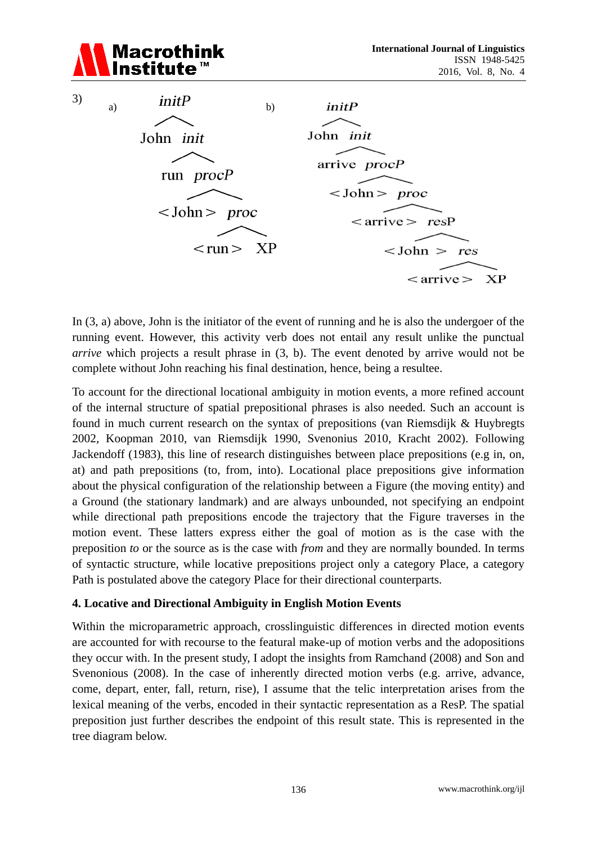

In (3, a) above, John is the initiator of the event of running and he is also the undergoer of the running event. However, this activity verb does not entail any result unlike the punctual *arrive* which projects a result phrase in (3, b). The event denoted by arrive would not be complete without John reaching his final destination, hence, being a resultee.

To account for the directional locational ambiguity in motion events, a more refined account of the internal structure of spatial prepositional phrases is also needed. Such an account is found in much current research on the syntax of prepositions (van Riemsdijk & Huybregts 2002, Koopman 2010, van Riemsdijk 1990, Svenonius 2010, Kracht 2002). Following Jackendoff (1983), this line of research distinguishes between place prepositions (e.g in, on, at) and path prepositions (to, from, into). Locational place prepositions give information about the physical configuration of the relationship between a Figure (the moving entity) and a Ground (the stationary landmark) and are always unbounded, not specifying an endpoint while directional path prepositions encode the trajectory that the Figure traverses in the motion event. These latters express either the goal of motion as is the case with the preposition *to* or the source as is the case with *from* and they are normally bounded. In terms of syntactic structure, while locative prepositions project only a category Place, a category Path is postulated above the category Place for their directional counterparts.

#### **4. Locative and Directional Ambiguity in English Motion Events**

Within the microparametric approach, crosslinguistic differences in directed motion events are accounted for with recourse to the featural make-up of motion verbs and the adopositions they occur with. In the present study, I adopt the insights from Ramchand (2008) and Son and Svenonious (2008). In the case of inherently directed motion verbs (e.g. arrive, advance, come, depart, enter, fall, return, rise), I assume that the telic interpretation arises from the lexical meaning of the verbs, encoded in their syntactic representation as a ResP. The spatial preposition just further describes the endpoint of this result state. This is represented in the tree diagram below.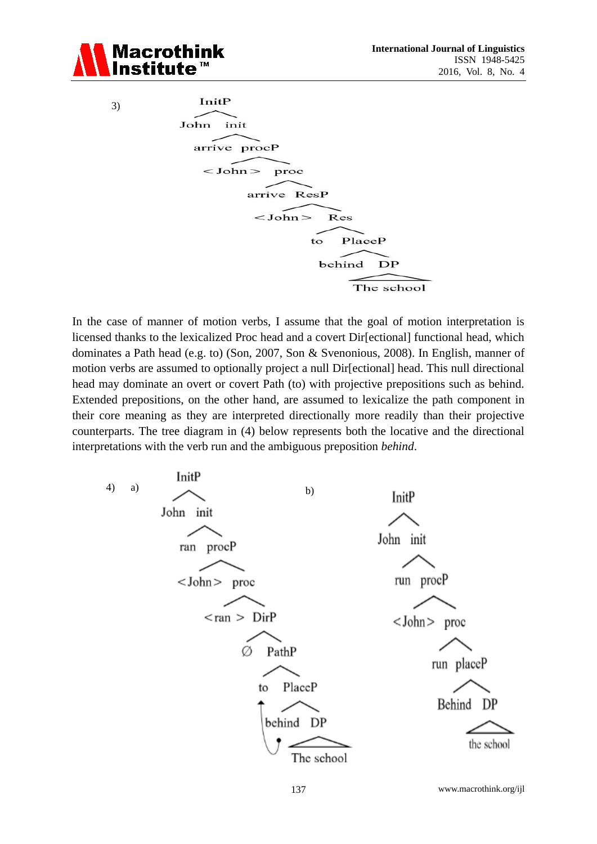

3)

InitP

\nJohn init

\narrive proof

\n
$$
<
$$
 John> proc

\narrive ResP

\n $<$  John> Res

\nto PlaceP

\nbehind DP

\nThe school

In the case of manner of motion verbs, I assume that the goal of motion interpretation is licensed thanks to the lexicalized Proc head and a covert Dir[ectional] functional head, which dominates a Path head (e.g. to) (Son, 2007, Son & Svenonious, 2008). In English, manner of motion verbs are assumed to optionally project a null Dir[ectional] head. This null directional head may dominate an overt or covert Path (to) with projective prepositions such as behind. Extended prepositions, on the other hand, are assumed to lexicalize the path component in their core meaning as they are interpreted directionally more readily than their projective counterparts. The tree diagram in (4) below represents both the locative and the directional interpretations with the verb run and the ambiguous preposition *behind*.



137 www.macrothink.org/ijl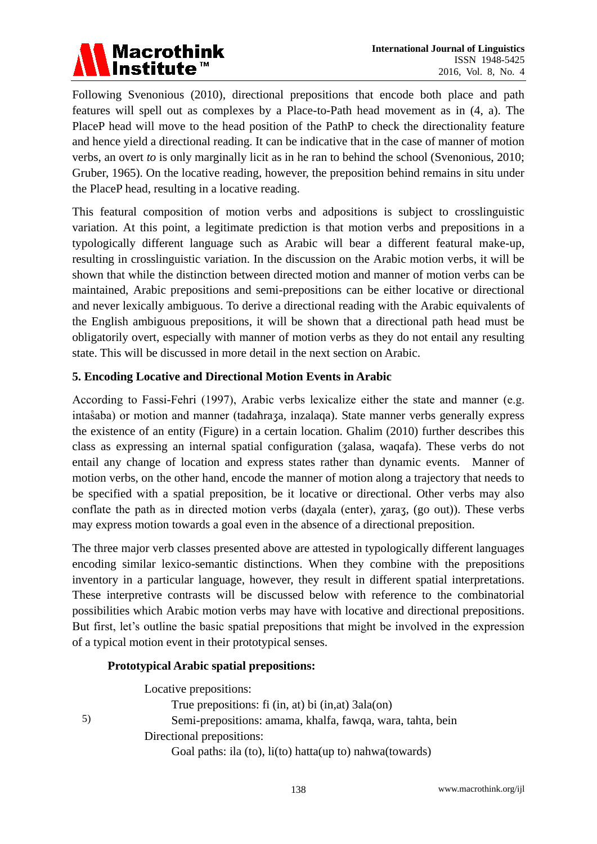

Following Svenonious (2010), directional prepositions that encode both place and path features will spell out as complexes by a Place-to-Path head movement as in (4, a). The PlaceP head will move to the head position of the PathP to check the directionality feature and hence yield a directional reading. It can be indicative that in the case of manner of motion verbs, an overt *to* is only marginally licit as in he ran to behind the school (Svenonious, 2010; Gruber, 1965). On the locative reading, however, the preposition behind remains in situ under the PlaceP head, resulting in a locative reading.

This featural composition of motion verbs and adpositions is subject to crosslinguistic variation. At this point, a legitimate prediction is that motion verbs and prepositions in a typologically different language such as Arabic will bear a different featural make-up, resulting in crosslinguistic variation. In the discussion on the Arabic motion verbs, it will be shown that while the distinction between directed motion and manner of motion verbs can be maintained, Arabic prepositions and semi-prepositions can be either locative or directional and never lexically ambiguous. To derive a directional reading with the Arabic equivalents of the English ambiguous prepositions, it will be shown that a directional path head must be obligatorily overt, especially with manner of motion verbs as they do not entail any resulting state. This will be discussed in more detail in the next section on Arabic.

# **5. Encoding Locative and Directional Motion Events in Arabic**

According to Fassi-Fehri (1997), Arabic verbs lexicalize either the state and manner (e.g. inta a a) or motion and manner (tada fraza, inzalaga). State manner verbs generally express the existence of an entity (Figure) in a certain location. Ghalim (2010) further describes this class as expressing an internal spatial configuration (ʒalasa, waqafa). These verbs do not entail any change of location and express states rather than dynamic events. Manner of motion verbs, on the other hand, encode the manner of motion along a trajectory that needs to be specified with a spatial preposition, be it locative or directional. Other verbs may also conflate the path as in directed motion verbs (dayala (enter),  $\gamma$ araz, (go out)). These verbs may express motion towards a goal even in the absence of a directional preposition.

The three major verb classes presented above are attested in typologically different languages encoding similar lexico-semantic distinctions. When they combine with the prepositions inventory in a particular language, however, they result in different spatial interpretations. These interpretive contrasts will be discussed below with reference to the combinatorial possibilities which Arabic motion verbs may have with locative and directional prepositions. But first, let's outline the basic spatial prepositions that might be involved in the expression of a typical motion event in their prototypical senses.

#### **Prototypical Arabic spatial prepositions:**

5)

Locative prepositions: True prepositions: fi (in, at) bi (in,at) 3ala(on) Semi-prepositions: amama, khalfa, fawqa, wara, tahta, bein Directional prepositions: Goal paths: ila (to), li(to) hatta(up to) nahwa(towards)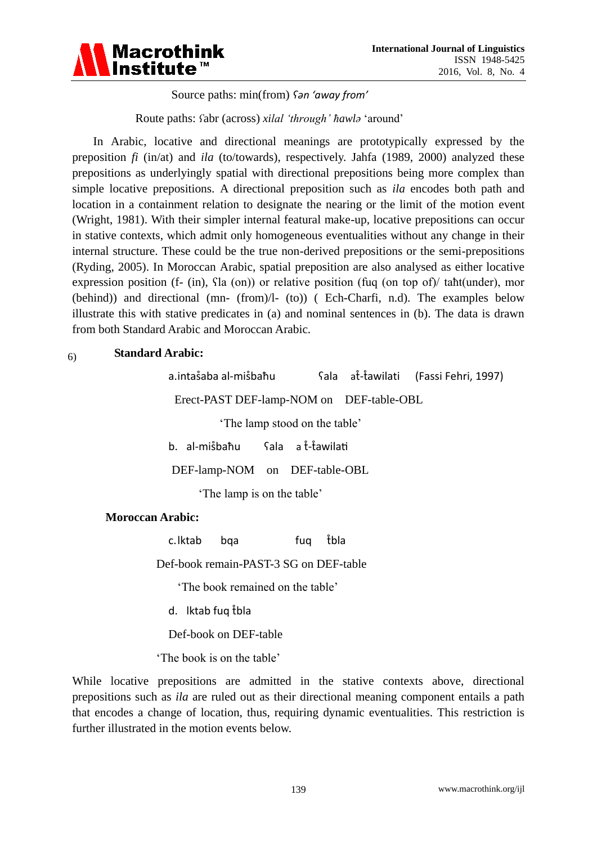

Source paths: min(from) *ʕən 'away from'*

Route paths: *fabr* (across) *xilal 'through' hawla* 'around'

In Arabic, locative and directional meanings are prototypically expressed by the preposition *fi* (in/at) and *ila* (to/towards), respectively. Jahfa (1989, 2000) analyzed these prepositions as underlyingly spatial with directional prepositions being more complex than simple locative prepositions. A directional preposition such as *ila* encodes both path and location in a containment relation to designate the nearing or the limit of the motion event (Wright, 1981). With their simpler internal featural make-up, locative prepositions can occur in stative contexts, which admit only homogeneous eventualities without any change in their internal structure. These could be the true non-derived prepositions or the semi-prepositions (Ryding, 2005). In Moroccan Arabic, spatial preposition are also analysed as either locative expression position (f- (in),  $\text{a}$  (on)) or relative position (fug (on top of)/ taht(under), mor (behind)) and directional (mn- (from)/l- (to)) ( Ech-Charfi, n.d). The examples below illustrate this with stative predicates in (a) and nominal sentences in (b). The data is drawn from both Standard Arabic and Moroccan Arabic.

#### **Standard Arabic:** 6)

a. intasaba al-misbahu [ala at-tawilati (Fassi Fehri, 1997) Erect-PAST DEF-lamp-NOM on DEF-table-OBL 'The lamp stood on the table' b. al-misbahu Sala a t-tawilati DEF-lamp-NOM on DEF-table-OBL 'The lamp is on the table'

# **Moroccan Arabic:**

c.lktab bqa fuq tbla

Def-book remain-PAST-3 SG on DEF-table

'The book remained on the table'

d. Iktab fug tbla

Def-book on DEF-table

'The book is on the table'

While locative prepositions are admitted in the stative contexts above, directional prepositions such as *ila* are ruled out as their directional meaning component entails a path that encodes a change of location, thus, requiring dynamic eventualities. This restriction is further illustrated in the motion events below.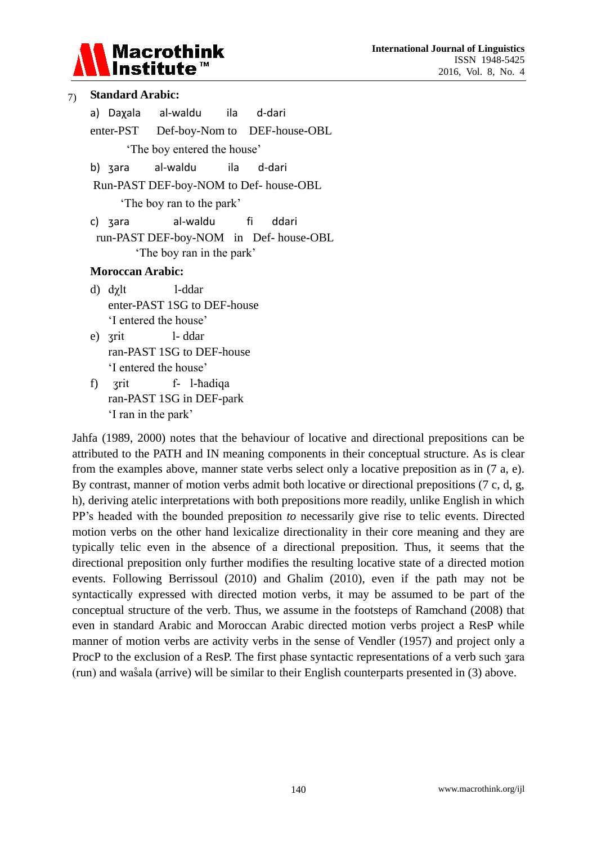

| 7)                                    |                                                                    | <b>Standard Arabic:</b>     |                                        |  |  |  |  |  |  |
|---------------------------------------|--------------------------------------------------------------------|-----------------------------|----------------------------------------|--|--|--|--|--|--|
|                                       |                                                                    |                             | a) Daxala al-waldu ila d-dari          |  |  |  |  |  |  |
|                                       |                                                                    |                             | enter-PST Def-boy-Nom to DEF-house-OBL |  |  |  |  |  |  |
|                                       | The boy entered the house'                                         |                             |                                        |  |  |  |  |  |  |
|                                       |                                                                    |                             | b) zara al-waldu ila d-dari            |  |  |  |  |  |  |
|                                       | Run-PAST DEF-boy-NOM to Def- house-OBL<br>The boy ran to the park' |                             |                                        |  |  |  |  |  |  |
|                                       |                                                                    |                             |                                        |  |  |  |  |  |  |
|                                       |                                                                    | c) zara                     | al-waldu fi ddari                      |  |  |  |  |  |  |
| run-PAST DEF-boy-NOM in Def-house-OBL |                                                                    |                             |                                        |  |  |  |  |  |  |
| The boy ran in the park'              |                                                                    |                             |                                        |  |  |  |  |  |  |
|                                       |                                                                    | <b>Moroccan Arabic:</b>     |                                        |  |  |  |  |  |  |
|                                       |                                                                    | d) dγlt                     | l-ddar                                 |  |  |  |  |  |  |
|                                       |                                                                    | enter-PAST 1SG to DEF-house |                                        |  |  |  |  |  |  |
|                                       |                                                                    | 'I entered the house'       |                                        |  |  |  |  |  |  |
|                                       |                                                                    | e) zrit                     | l-ddar                                 |  |  |  |  |  |  |
|                                       | ran-PAST 1SG to DEF-house                                          |                             |                                        |  |  |  |  |  |  |
|                                       |                                                                    | 'I entered the house'       |                                        |  |  |  |  |  |  |
|                                       | f)                                                                 |                             | zrit f- 1-hadiqa                       |  |  |  |  |  |  |

ran-PAST 1SG in DEF-park

'I ran in the park'

Jahfa (1989, 2000) notes that the behaviour of locative and directional prepositions can be attributed to the PATH and IN meaning components in their conceptual structure. As is clear from the examples above, manner state verbs select only a locative preposition as in (7 a, e). By contrast, manner of motion verbs admit both locative or directional prepositions (7 c, d, g, h), deriving atelic interpretations with both prepositions more readily, unlike English in which PP's headed with the bounded preposition *to* necessarily give rise to telic events. Directed motion verbs on the other hand lexicalize directionality in their core meaning and they are typically telic even in the absence of a directional preposition. Thus, it seems that the directional preposition only further modifies the resulting locative state of a directed motion events. Following Berrissoul (2010) and Ghalim (2010), even if the path may not be syntactically expressed with directed motion verbs, it may be assumed to be part of the conceptual structure of the verb. Thus, we assume in the footsteps of Ramchand (2008) that even in standard Arabic and Moroccan Arabic directed motion verbs project a ResP while manner of motion verbs are activity verbs in the sense of Vendler (1957) and project only a ProcP to the exclusion of a ResP. The first phase syntactic representations of a verb such zara (run) and wasala (arrive) will be similar to their English counterparts presented in  $(3)$  above.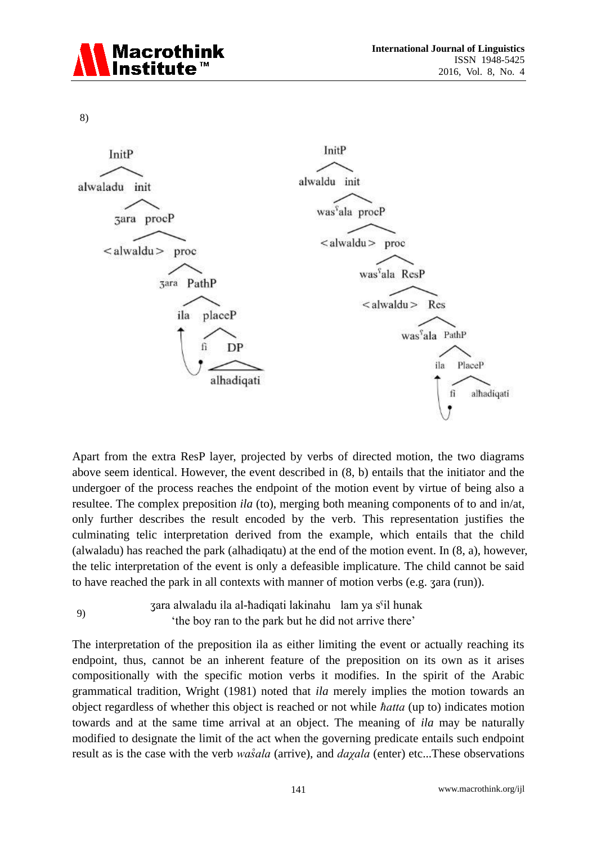

8)



Apart from the extra ResP layer, projected by verbs of directed motion, the two diagrams above seem identical. However, the event described in (8, b) entails that the initiator and the undergoer of the process reaches the endpoint of the motion event by virtue of being also a resultee. The complex preposition *ila* (to), merging both meaning components of to and in/at, only further describes the result encoded by the verb. This representation justifies the culminating telic interpretation derived from the example, which entails that the child (alwaladu) has reached the park (alhadiqatu) at the end of the motion event. In (8, a), however, the telic interpretation of the event is only a defeasible implicature. The child cannot be said to have reached the park in all contexts with manner of motion verbs (e.g. ʒara (run)).

zara alwaladu ila al-hadiqati lakinahu lam ya s<sup>c</sup>il hunak 'the boy ran to the park but he did not arrive there' 9)

The interpretation of the preposition ila as either limiting the event or actually reaching its endpoint, thus, cannot be an inherent feature of the preposition on its own as it arises compositionally with the specific motion verbs it modifies. In the spirit of the Arabic grammatical tradition, Wright (1981) noted that *ila* merely implies the motion towards an object regardless of whether this object is reached or not while *ħatta* (up to) indicates motion towards and at the same time arrival at an object. The meaning of *ila* may be naturally modified to designate the limit of the act when the governing predicate entails such endpoint result as is the case with the verb *wasala* (arrive), and *dayala* (enter) etc...These observations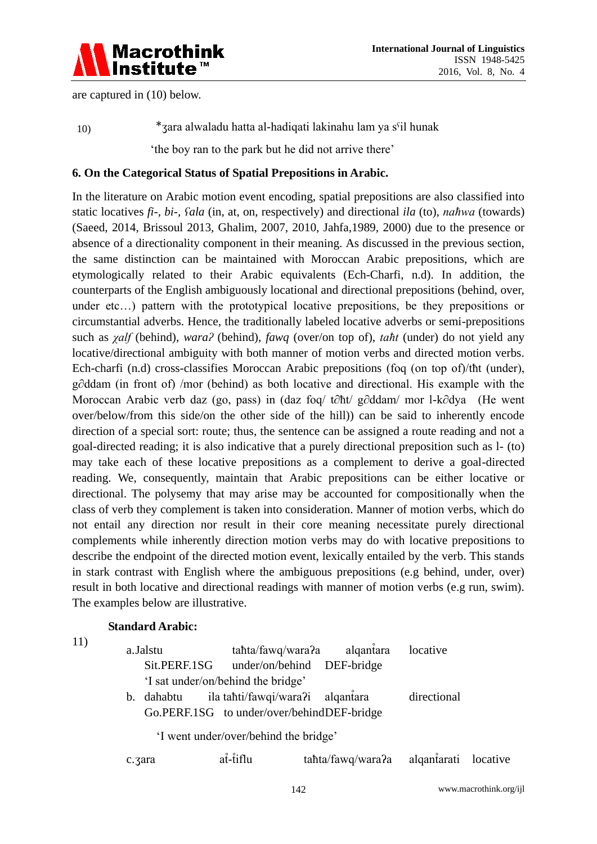

are captured in (10) below.

\*zara alwaladu hatta al-hadigati lakinahu lam ya s<sup>c</sup>il hunak 'the boy ran to the park but he did not arrive there' 10)

#### **6. On the Categorical Status of Spatial Prepositions in Arabic.**

In the literature on Arabic motion event encoding, spatial prepositions are also classified into static locatives *fi-, bi-, fala* (in, at, on, respectively) and directional *ila* (to), *nahwa* (towards) (Saeed, 2014, Brissoul 2013, Ghalim, 2007, 2010, Jahfa,1989, 2000) due to the presence or absence of a directionality component in their meaning. As discussed in the previous section, the same distinction can be maintained with Moroccan Arabic prepositions, which are etymologically related to their Arabic equivalents (Ech-Charfi, n.d). In addition, the counterparts of the English ambiguously locational and directional prepositions (behind, over, under etc...) pattern with the prototypical locative prepositions, be they prepositions or circumstantial adverbs. Hence, the traditionally labeled locative adverbs or semi-prepositions such as *χalf* (behind), *waraʔ* (behind), *fawq* (over/on top of), *taħt* (under) do not yield any locative/directional ambiguity with both manner of motion verbs and directed motion verbs. Ech-charfi (n.d) cross-classifies Moroccan Arabic prepositions (fog (on top of)/the (under),  $g\partial d\text{dam}$  (in front of) /mor (behind) as both locative and directional. His example with the Moroccan Arabic verb daz (go, pass) in ( daz foq/ t∂ht/ g∂ddam/ mor l-k∂dya (He went over/below/from this side/on the other side of the hill)) can be said to inherently encode direction of a special sort: route; thus, the sentence can be assigned a route reading and not a goal-directed reading; it is also indicative that a purely directional preposition such as l- (to) may take each of these locative prepositions as a complement to derive a goal-directed reading. We, consequently, maintain that Arabic prepositions can be either locative or directional. The polysemy that may arise may be accounted for compositionally when the class of verb they complement is taken into consideration. Manner of motion verbs, which do not entail any direction nor result in their core meaning necessitate purely directional complements while inherently direction motion verbs may do with locative prepositions to describe the endpoint of the directed motion event, lexically entailed by the verb. This stands in stark contrast with English where the ambiguous prepositions (e.g behind, under, over) result in both locative and directional readings with manner of motion verbs (e.g run, swim). The examples below are illustrative.

#### **Standard Arabic:**

11)

|                                       | a.Jalstu                                   |                                    | tahta/fawq/wara?a alqantara            | locative    |  |  |  |  |  |
|---------------------------------------|--------------------------------------------|------------------------------------|----------------------------------------|-------------|--|--|--|--|--|
|                                       | Sit.PERF.1SG                               |                                    | under/on/behind DEF-bridge             |             |  |  |  |  |  |
|                                       |                                            | 'I sat under/on/behind the bridge' |                                        |             |  |  |  |  |  |
|                                       | b. dahabtu                                 | ila tahti/fawqi/wara?i alqantara   |                                        | directional |  |  |  |  |  |
|                                       | Go.PERF.1SG to under/over/behindDEF-bridge |                                    |                                        |             |  |  |  |  |  |
| 'I went under/over/behind the bridge' |                                            |                                    |                                        |             |  |  |  |  |  |
|                                       | c.zara                                     | at-tiflu                           | tahta/fawq/wara?a alqantarati locative |             |  |  |  |  |  |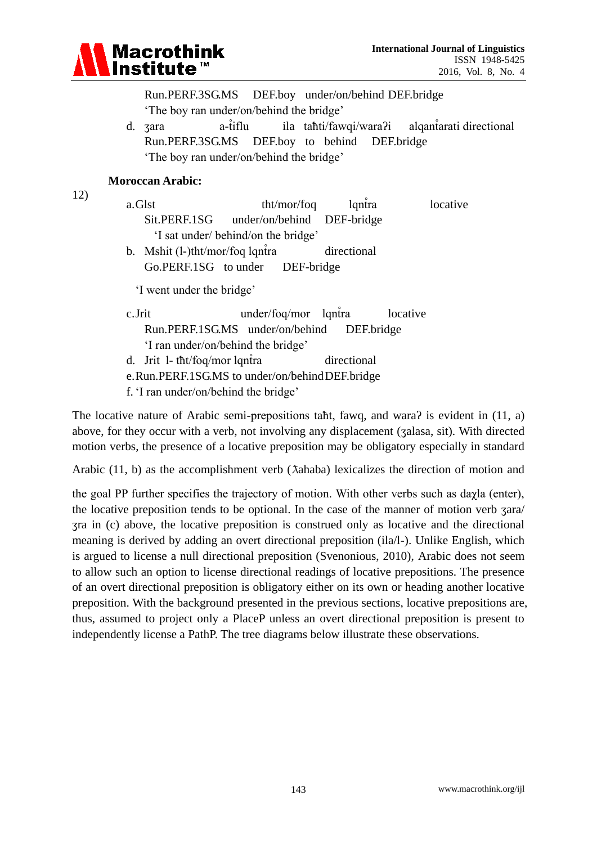

Run.PERF.3SG.MS DEF.boy under/on/behind DEF.bridge 'The boy ran under/on/ behind the bridge'

d. zara a-tiflu ila tahti/ fawqi/ wara?i algantarati directional Run.PERF.3SG.MS DEF.boy to behind DEF.bridge 'The boy ran under/on/ behind the bridge'

#### **Moroccan Arabic:**

12)

- a. Glst  $\frac{tht}{mor}$  the l ntra locative Sit.PERF.1SG under/on/behind DEF-bridge 'I sat under/ behind/on the bridge'
- b. Mshit  $(l-)$ tht/mor/foq lqntra directional Go.PERF.1SG to under DEF-bridge

'I went under the bridge'

- $c.Jrit$  under/fog/mor lgntra locative Run.PERF.1SG.MS under/on/behind DEF.bridge 'I ran under/on/behind the bridge' d. Jrit 1- tht/foq/mor lqntra directional
- e.Run.PERF.1SG.MS to under/on/behindDEF.bridge
- f. 'I ran under/on/behind the bridge'

The locative nature of Arabic semi-prepositions taht, fawq, and wara? is evident in  $(11, a)$ above, for they occur with a verb, not involving any displacement (ʒalasa, sit). With directed motion verbs, the presence of a locative preposition may be obligatory especially in standard

Arabic (11, b) as the accomplishment verb ( $\lambda$ ahaba) lexicalizes the direction of motion and

the goal PP further specifies the trajectory of motion. With other verbs such as  $dayla$  (enter), the locative preposition tends to be optional. In the case of the manner of motion verb ʒara/ ʒra in (c) above, the locative preposition is construed only as locative and the directional meaning is derived by adding an overt directional preposition (ila/l-). Unlike English, which is argued to license a null directional preposition (Svenonious, 2010), Arabic does not seem to allow such an option to license directional readings of locative prepositions. The presence of an overt directional preposition is obligatory either on its own or heading another locative preposition. With the background presented in the previous sections, locative prepositions are, thus, assumed to project only a PlaceP unless an overt directional preposition is present to independently license a PathP. The tree diagrams below illustrate these observations.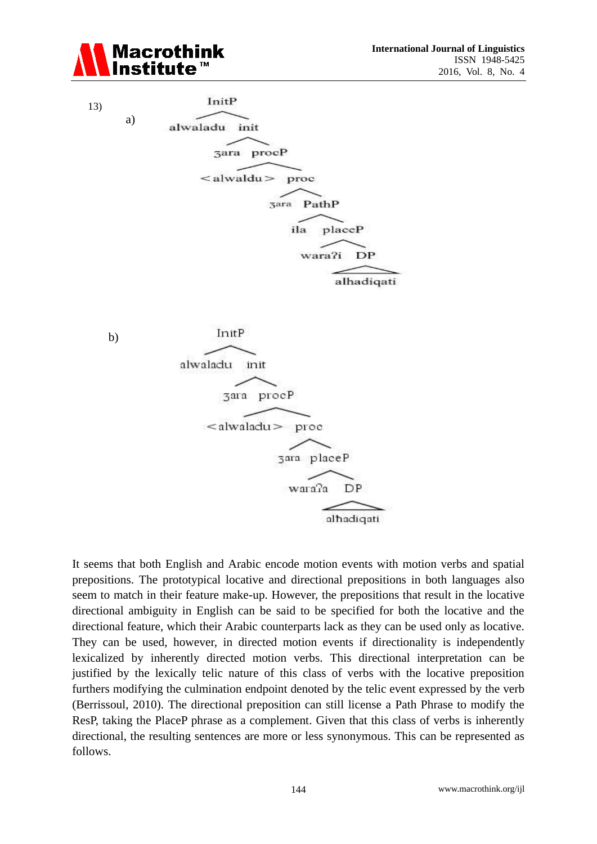





It seems that both English and Arabic encode motion events with motion verbs and spatial prepositions. The prototypical locative and directional prepositions in both languages also seem to match in their feature make-up. However, the prepositions that result in the locative directional ambiguity in English can be said to be specified for both the locative and the directional feature, which their Arabic counterparts lack as they can be used only as locative. They can be used, however, in directed motion events if directionality is independently lexicalized by inherently directed motion verbs. This directional interpretation can be justified by the lexically telic nature of this class of verbs with the locative preposition furthers modifying the culmination endpoint denoted by the telic event expressed by the verb (Berrissoul, 2010). The directional preposition can still license a Path Phrase to modify the ResP, taking the PlaceP phrase as a complement. Given that this class of verbs is inherently directional, the resulting sentences are more or less synonymous. This can be represented as follows.

wara?a

DP

alhadiqati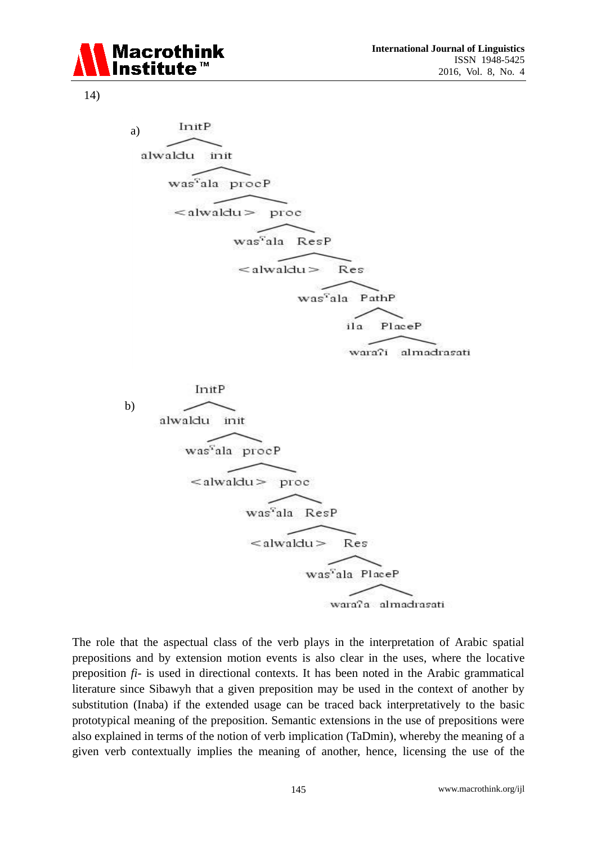

14)

InitP a) alwaldu init was<sup>c</sup>ala procP  $\alpha$ lwaldu $>$ proc was<sup>v</sup>ala ResP  $\leq$ alwaldu $>$ Res was<sup>7</sup>ala PathP PlaceP  $i<sub>1</sub>$ wara?i almadrasati InitP b)alwaldu init was<sup>5</sup>ala procP



The role that the aspectual class of the verb plays in the interpretation of Arabic spatial prepositions and by extension motion events is also clear in the uses, where the locative preposition *fi-* is used in directional contexts. It has been noted in the Arabic grammatical literature since Sibawyh that a given preposition may be used in the context of another by substitution (Inaba) if the extended usage can be traced back interpretatively to the basic prototypical meaning of the preposition. Semantic extensions in the use of prepositions were also explained in terms of the notion of verb implication (TaDmin), whereby the meaning of a given verb contextually implies the meaning of another, hence, licensing the use of the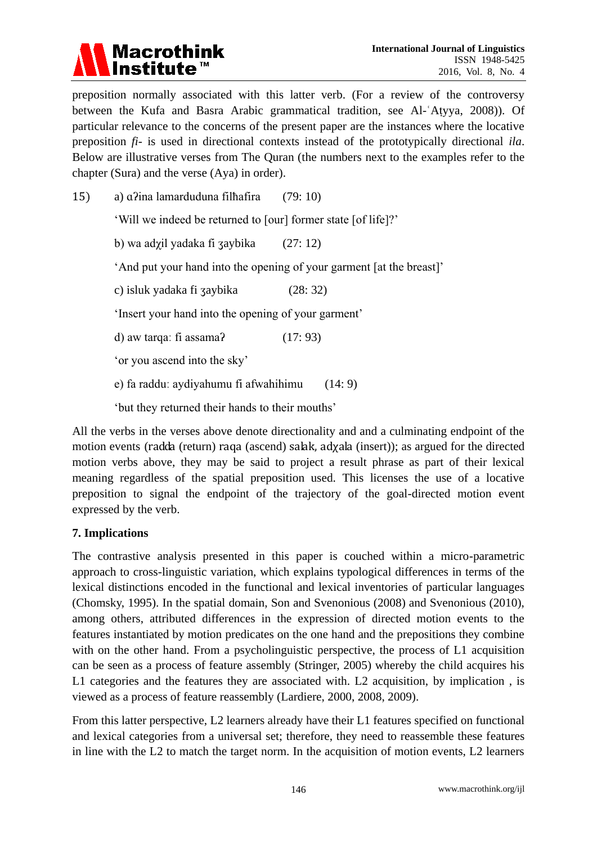

preposition normally associated with this latter verb. (For a review of the controversy between the Kufa and Basra Arabic grammatical tradition, see Al-ʿAṭyya, 2008)). Of particular relevance to the concerns of the present paper are the instances where the locative preposition *fi*- is used in directional contexts instead of the prototypically directional *ila*. Below are illustrative verses from The Quran (the numbers next to the examples refer to the chapter (Sura) and the verse (Aya) in order).

15) a)  $\alpha$ *ina lamarduduna filhafira* (79: 10) 'Will we indeed be returned to [our] former state [of life]?' b) wa adxil yadaka fi zaybika  $(27: 12)$ 'And put your hand into the opening of your garment [at the breast]' c) isluk yadaka fi ʒaybika (28: 32) 'Insert your hand into the opening of your garment' d) aw targa: fi assama?  $(17: 93)$ 'or you ascend into the sky'  $e)$  fa raddu: ay diyahumu fi afwa hihimu  $(14: 9)$ ' but they returned their hands to their mouths'

All the verbs in the verses above denote directionality and and a culminating endpoint of the motion events (radda (return) raqa (ascend) salak, adχala (insert)); as argued for the directed motion verbs above, they may be said to project a result phrase as part of their lexical meaning regardless of the spatial preposition used. This licenses the use of a locative preposition to signal the endpoint of the trajectory of the goal-directed motion event expressed by the verb.

# **7. Implications**

The contrastive analysis presented in this paper is couched within a micro-parametric approach to cross-linguistic variation, which explains typological differences in terms of the lexical distinctions encoded in the functional and lexical inventories of particular languages (Chomsky, 1995). In the spatial domain, Son and Svenonious (2008) and Svenonious (2010), among others, attributed differences in the expression of directed motion events to the features instantiated by motion predicates on the one hand and the prepositions they combine with on the other hand. From a psycholinguistic perspective, the process of L1 acquisition can be seen as a process of feature assembly (Stringer, 2005) whereby the child acquires his L1 categories and the features they are associated with. L2 acquisition, by implication , is viewed as a process of feature reassembly (Lardiere, 2000, 2008, 2009).

From this latter perspective, L2 learners already have their L1 features specified on functional and lexical categories from a universal set; therefore, they need to reassemble these features in line with the L2 to match the target norm. In the acquisition of motion events, L2 learners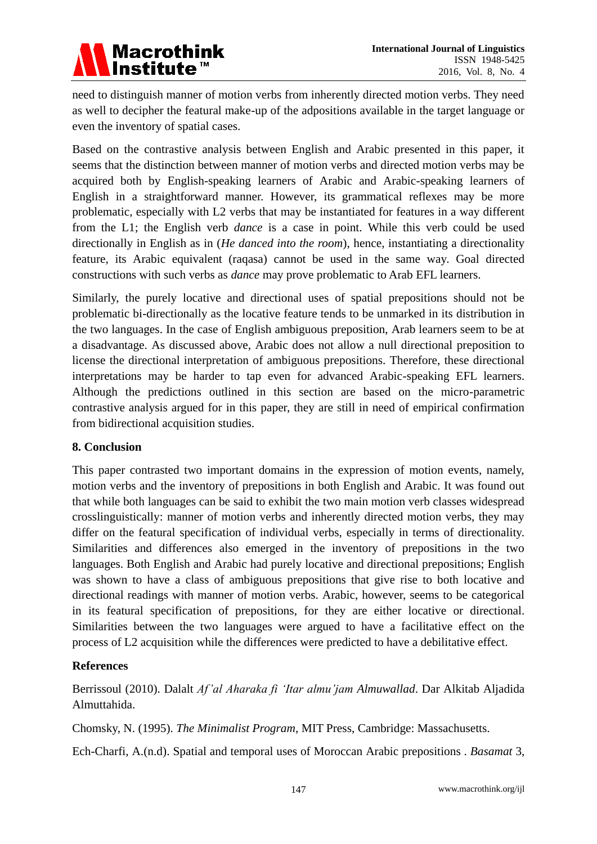

need to distinguish manner of motion verbs from inherently directed motion verbs. They need as well to decipher the featural make-up of the adpositions available in the target language or even the inventory of spatial cases.

Based on the contrastive analysis between English and Arabic presented in this paper, it seems that the distinction between manner of motion verbs and directed motion verbs may be acquired both by English-speaking learners of Arabic and Arabic-speaking learners of English in a straightforward manner. However, its grammatical reflexes may be more problematic, especially with L2 verbs that may be instantiated for features in a way different from the L1; the English verb *dance* is a case in point. While this verb could be used directionally in English as in (*He danced into the room*), hence, instantiating a directionality feature, its Arabic equivalent (raqasa) cannot be used in the same way. Goal directed constructions with such verbs as *dance* may prove problematic to Arab EFL learners.

Similarly, the purely locative and directional uses of spatial prepositions should not be problematic bi-directionally as the locative feature tends to be unmarked in its distribution in the two languages. In the case of English ambiguous preposition, Arab learners seem to be at a disadvantage. As discussed above, Arabic does not allow a null directional preposition to license the directional interpretation of ambiguous prepositions. Therefore, these directional interpretations may be harder to tap even for advanced Arabic-speaking EFL learners. Although the predictions outlined in this section are based on the micro-parametric contrastive analysis argued for in this paper, they are still in need of empirical confirmation from bidirectional acquisition studies.

#### **8. Conclusion**

This paper contrasted two important domains in the expression of motion events, namely, motion verbs and the inventory of prepositions in both English and Arabic. It was found out that while both languages can be said to exhibit the two main motion verb classes widespread crosslinguistically: manner of motion verbs and inherently directed motion verbs, they may differ on the featural specification of individual verbs, especially in terms of directionality. Similarities and differences also emerged in the inventory of prepositions in the two languages. Both English and Arabic had purely locative and directional prepositions; English was shown to have a class of ambiguous prepositions that give rise to both locative and directional readings with manner of motion verbs. Arabic, however, seems to be categorical in its featural specification of prepositions, for they are either locative or directional. Similarities between the two languages were argued to have a facilitative effect on the process of L2 acquisition while the differences were predicted to have a debilitative effect.

#### **References**

Berrissoul (2010). Dalalt *Af'al Aharaka fi 'Itar almu'jam Almuwallad*. Dar Alkitab Aljadida Almuttahida.

Chomsky, N. (1995). *The Minimalist Program*, MIT Press, Cambridge: Massachusetts.

Ech-Charfi, A.(n.d). Spatial and temporal uses of Moroccan Arabic prepositions . *Basamat* 3,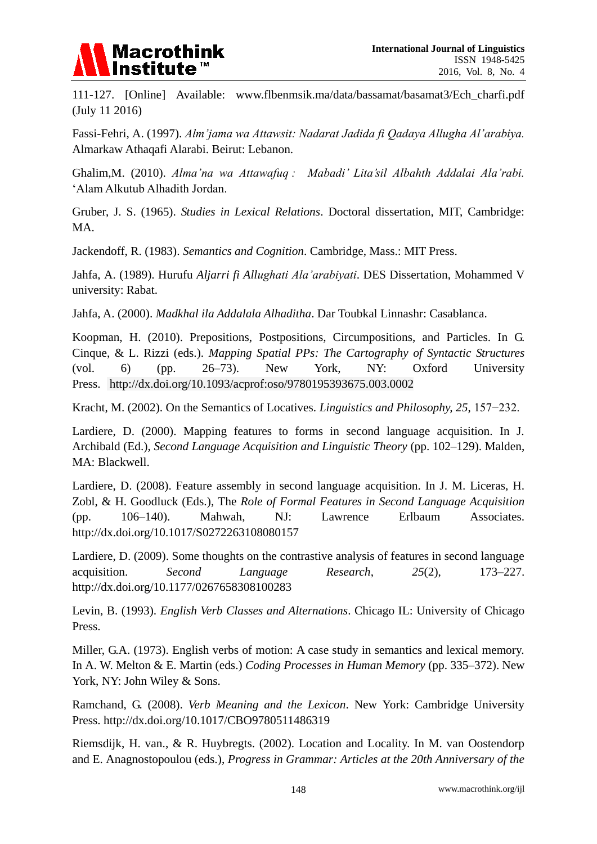

111-127. [Online] Available: www.flbenmsik.ma/data/bassamat/basamat3/Ech\_charfi.pdf (July 11 2016)

Fassi-Fehri, A. (1997). *Alm'jama wa Attawsit: Nadarat Jadida fi Qadaya Allugha Al'arabiya.* Almarkaw Athaqafi Alarabi. Beirut: Lebanon.

Ghalim,M. (2010). *Alma'na wa Attawafua : Mabadi' Lita'sil Albahth Addalai Ala'rabi.* 'Alam Alkutub Alhadith Jordan.

Gruber, J. S. (1965). *Studies in Lexical Relations*. Doctoral dissertation, MIT, Cambridge: MA.

Jackendoff, R. (1983). *Semantics and Cognition*. Cambridge, Mass.: MIT Press.

Jahfa, A. (1989). Hurufu *Aljarri fi Allughati Ala'arabiyati*. DES Dissertation, Mohammed V university: Rabat.

Jahfa, A. (2000). *Madkhal ila Addalala Alhaditha*. Dar Toubkal Linnashr: Casablanca.

Koopman, H. (2010). Prepositions, Postpositions, Circumpositions, and Particles. In G. Cinque, & L. Rizzi (eds.). *Mapping Spatial PPs: The Cartography of Syntactic Structures*  (vol. 6) (pp. 26–73). New York, NY: Oxford University Press. <http://dx.doi.org/10.1093/acprof:oso/9780195393675.003.0002>

Kracht, M. (2002). On the Semantics of Locatives. *Linguistics and Philosophy*, 25, 157–232.

Lardiere, D. (2000). Mapping features to forms in second language acquisition. In J. Archibald (Ed.), *Second Language Acquisition and Linguistic Theory* (pp. 102–129). Malden, MA: Blackwell.

Lardiere, D. (2008). Feature assembly in second language acquisition. In J. M. Liceras, H. Zobl, & H. Goodluck (Eds.), The *Role of Formal Features in Second Language Acquisition* (pp. 106–140). Mahwah, NJ: Lawrence Erlbaum Associates. <http://dx.doi.org/10.1017/S0272263108080157>

Lardiere, D. (2009). Some thoughts on the contrastive analysis of features in second language acquisition. *Second Language Research*, *25*(2), 173–227. <http://dx.doi.org/10.1177/0267658308100283>

Levin, B. (1993). *English Verb Classes and Alternations*. Chicago IL: University of Chicago Press.

Miller, G.A. (1973). English verbs of motion: A case study in semantics and lexical memory. In A. W. Melton & E. Martin (eds.) *Coding Processes in Human Memory* (pp. 335–372). New York, NY: John Wiley & Sons.

Ramchand, G. (2008). *Verb Meaning and the Lexicon*. New York: Cambridge University Press. <http://dx.doi.org/10.1017/CBO9780511486319>

Riemsdijk, H. van., & R. Huybregts. (2002). Location and Locality. In M. van Oostendorp and E. Anagnostopoulou (eds.), *Progress in Grammar: Articles at the 20th Anniversary of the*